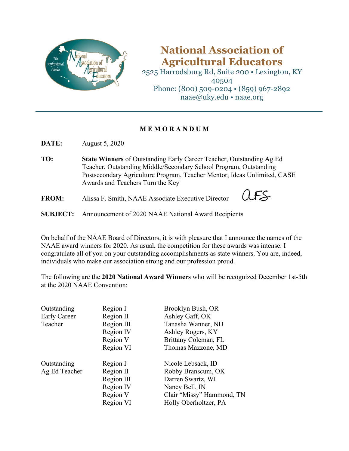

## **National Association of Agricultural Educators**

2525 Harrodsburg Rd, Suite 200 • Lexington, KY 40504 Phone: (800) 509-0204 • (859) 967-2892 naae@uky.edu • naae.org

## **M E M O R A N D U M**

**DATE:** August 5, 2020

- **TO: State Winners** of Outstanding Early Career Teacher, Outstanding Ag Ed Teacher, Outstanding Middle/Secondary School Program, Outstanding Postsecondary Agriculture Program, Teacher Mentor, Ideas Unlimited, CASE Awards and Teachers Turn the Key
- **FROM:** Alissa F. Smith, NAAE Associate Executive Director
- $FS$
- **SUBJECT:** Announcement of 2020 NAAE National Award Recipients

On behalf of the NAAE Board of Directors, it is with pleasure that I announce the names of the NAAE award winners for 2020. As usual, the competition for these awards was intense. I congratulate all of you on your outstanding accomplishments as state winners. You are, indeed, individuals who make our association strong and our profession proud.

The following are the **2020 National Award Winners** who will be recognized December 1st-5th at the 2020 NAAE Convention:

| Outstanding   | Region I   | Brooklyn Bush, OR         |
|---------------|------------|---------------------------|
| Early Career  | Region II  | Ashley Gaff, OK           |
| Teacher       | Region III | Tanasha Wanner, ND        |
|               | Region IV  | Ashley Rogers, KY         |
|               | Region V   | Brittany Coleman, FL      |
|               | Region VI  | Thomas Mazzone, MD        |
| Outstanding   | Region I   | Nicole Lebsack, ID        |
| Ag Ed Teacher | Region II  | Robby Branscum, OK        |
|               | Region III | Darren Swartz, WI         |
|               | Region IV  | Nancy Bell, IN            |
|               | Region V   | Clair "Missy" Hammond, TN |
|               | Region VI  | Holly Oberholtzer, PA     |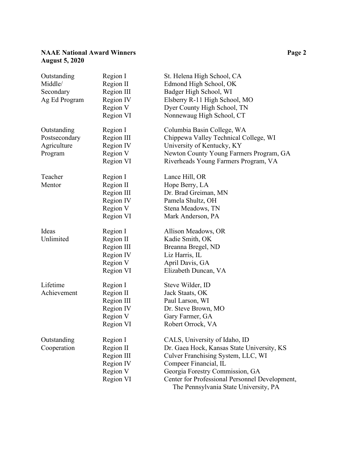## **NAAE National Award Winners Page 2 August 5, 2020**

| Outstanding<br>Middle/<br>Secondary<br>Ag Ed Program   | Region I<br>Region II<br>Region III<br>Region IV<br>Region V<br>Region VI | St. Helena High School, CA<br>Edmond High School, OK<br>Badger High School, WI<br>Elsberry R-11 High School, MO<br>Dyer County High School, TN<br>Nonnewaug High School, CT                                                                                              |
|--------------------------------------------------------|---------------------------------------------------------------------------|--------------------------------------------------------------------------------------------------------------------------------------------------------------------------------------------------------------------------------------------------------------------------|
| Outstanding<br>Postsecondary<br>Agriculture<br>Program | Region I<br>Region III<br>Region IV<br>Region V<br>Region VI              | Columbia Basin College, WA<br>Chippewa Valley Technical College, WI<br>University of Kentucky, KY<br>Newton County Young Farmers Program, GA<br>Riverheads Young Farmers Program, VA                                                                                     |
| Teacher<br>Mentor                                      | Region I<br>Region II<br>Region III<br>Region IV<br>Region V<br>Region VI | Lance Hill, OR<br>Hope Berry, LA<br>Dr. Brad Greiman, MN<br>Pamela Shultz, OH<br>Stena Meadows, TN<br>Mark Anderson, PA                                                                                                                                                  |
| Ideas<br>Unlimited                                     | Region I<br>Region II<br>Region III<br>Region IV<br>Region V<br>Region VI | Allison Meadows, OR<br>Kadie Smith, OK<br>Breanna Bregel, ND<br>Liz Harris, IL<br>April Davis, GA<br>Elizabeth Duncan, VA                                                                                                                                                |
| Lifetime<br>Achievement                                | Region I<br>Region II<br>Region III<br>Region IV<br>Region V<br>Region VI | Steve Wilder, ID<br>Jack Staats, OK<br>Paul Larson, WI<br>Dr. Steve Brown, MO<br>Gary Farmer, GA<br>Robert Orrock, VA                                                                                                                                                    |
| Outstanding<br>Cooperation                             | Region I<br>Region II<br>Region III<br>Region IV<br>Region V<br>Region VI | CALS, University of Idaho, ID<br>Dr. Gaea Hock, Kansas State University, KS<br>Culver Franchising System, LLC, WI<br>Compeer Financial, IL<br>Georgia Forestry Commission, GA<br>Center for Professional Personnel Development,<br>The Pennsylvania State University, PA |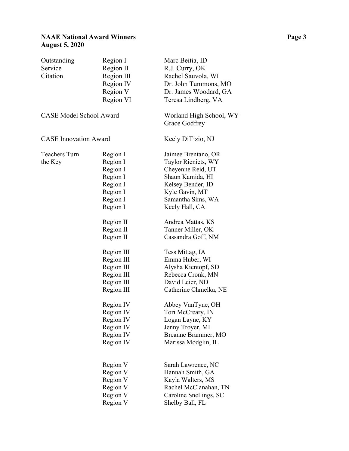| Outstanding<br>Service<br>Citation | Region I<br>Region II<br>Region III<br>Region IV<br>Region V<br>Region VI                                                              | Marc Beitia, ID<br>R.J. Curry, OK<br>Rachel Sauvola, WI<br>Dr. John Tummons, MO<br>Dr. James Woodard, GA<br>Teresa Lindberg, VA                                                                                                               |
|------------------------------------|----------------------------------------------------------------------------------------------------------------------------------------|-----------------------------------------------------------------------------------------------------------------------------------------------------------------------------------------------------------------------------------------------|
| <b>CASE Model School Award</b>     |                                                                                                                                        | Worland High School, WY<br>Grace Godfrey                                                                                                                                                                                                      |
| <b>CASE</b> Innovation Award       |                                                                                                                                        | Keely DiTizio, NJ                                                                                                                                                                                                                             |
| Teachers Turn<br>the Key           | Region I<br>Region I<br>Region I<br>Region I<br>Region I<br>Region I<br>Region I<br>Region I                                           | Jaimee Brentano, OR<br>Taylor Rieniets, WY<br>Cheyenne Reid, UT<br>Shaun Kamida, HI<br>Kelsey Bender, ID<br>Kyle Gavin, MT<br>Samantha Sims, WA<br>Keely Hall, CA                                                                             |
|                                    | Region II<br>Region II<br>Region II<br>Region III<br>Region III<br>Region III<br>Region III<br>Region III<br>Region III                | Andrea Mattas, KS<br>Tanner Miller, OK<br>Cassandra Goff, NM<br>Tess Mittag, IA<br>Emma Huber, WI<br>Alysha Kientopf, SD<br>Rebecca Cronk, MN<br>David Leier, ND<br>Catherine Chmelka, NE                                                     |
|                                    | Region IV<br>Region IV<br>Region IV<br>Region IV<br>Region IV<br>Region IV<br>Region V<br>Region V<br>Region V<br>Region V<br>Region V | Abbey VanTyne, OH<br>Tori McCreary, IN<br>Logan Layne, KY<br>Jenny Troyer, MI<br>Breanne Brammer, MO<br>Marissa Modglin, IL<br>Sarah Lawrence, NC<br>Hannah Smith, GA<br>Kayla Walters, MS<br>Rachel McClanahan, TN<br>Caroline Snellings, SC |